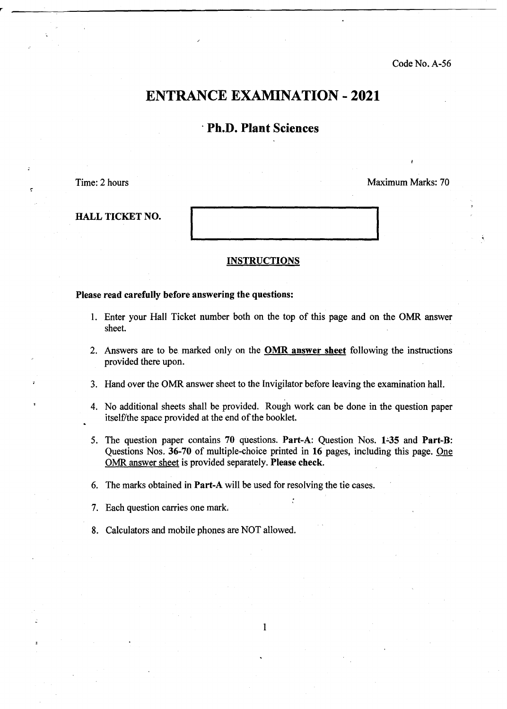Code No. A-56

# ENTRANCE EXAMINATION - 2021

## . Ph.D. Plant Sciences

Time: 2 hours Maximum Marks: 70

HALL TICKET NO.

#### INSTRUCTIONS

#### Please read carefully before answering the questions:

- 1. Enter your Hall Ticket number both on the top of this page and on the OMR answer sheet.
- 2. Answers are to be marked only on the OMR answer sheet following the instructions provided there upon.
- 3. Hand over the OMR answer sheet to the Invigilator before leaving the examination hall.
- 4. No additional sheets shall be provided. Rough work can be done in the question paper itself/the space provided at the end of the booklet.
- 5. The question paper contains 70 questions. Part-A: Question Nos. 1-35 and Part-B: Questions Nos. 36-70 of multiple-choice printed in 16 pages, including this page. One OMR answer sheet is provided separately. Please check.
- 6. The marks obtained in Part-A will be used for resolving the tie cases.
- 7. Each question carries one mark
- 8. Calculators and mobile phones are NOT allowed.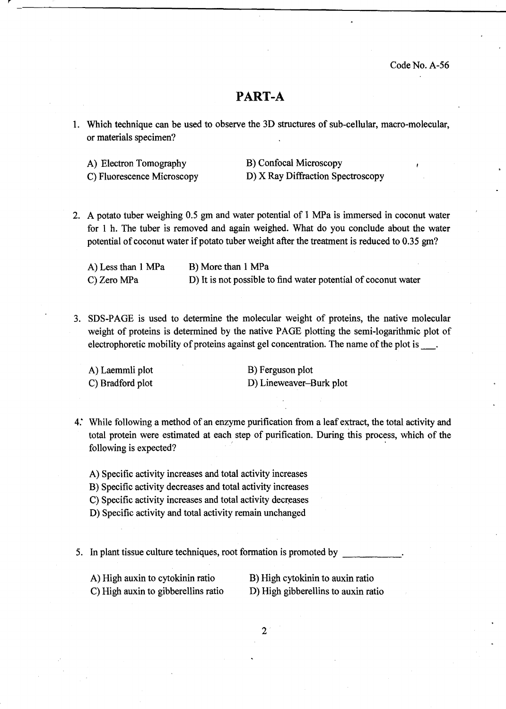Code No. A-56

### **PART-A**

1. Which technique can be used to observe the 3D structures of sub-cellular, macro-molecular, or materials specimen?

A) Electron Tomography B) Confocal Microscopy

C) Fluorescence Microscopy D) X Ray Diffraction Spectroscopy

2. A potato tuber weighing 0.5 gm and water potential of I MPa is immersed in coconut water for 1 h. The tuber is removed and again weighed. What do you conclude about the water potential of coconut water if potato tuber weight after the treatment is reduced to 0.35 gm?

A) Less than 1 MPa C) Zero MPa B) More than 1 MPa D) It is not possible to find water potential of coconut water

3. SDS-PAGE is used to determine the molecular weight of proteins, the native molecular weight of proteins is determined by the native PAGE plotting the semi-logarithmic plot of electrophoretic mobility of proteins against gel concentration. The name of the plot is  $\blacksquare$ .

A) Laemmli plot C) Bradford plot

B) Ferguson plot D) Lineweaver-Burk plot

4: While following a method of an enzyme purification from a leaf extract, the total activity and total protein were estimated at each step of purification. During this process, which of the following is expected?

A) Specific activity increases and total activity increases

- B) Specific activity decreases and total activity increases
- C) Specific activity increases and total activity decreases
- D) Specific activity and total activity remain unchanged
- 5. In plant tissue culture techniques, root formation is promoted by

A) High auxin to cytokinin ratio C) High auxin to gibberellins ratio B) High cytokinin to auxin ratio D) High gibberellins to auxin ratio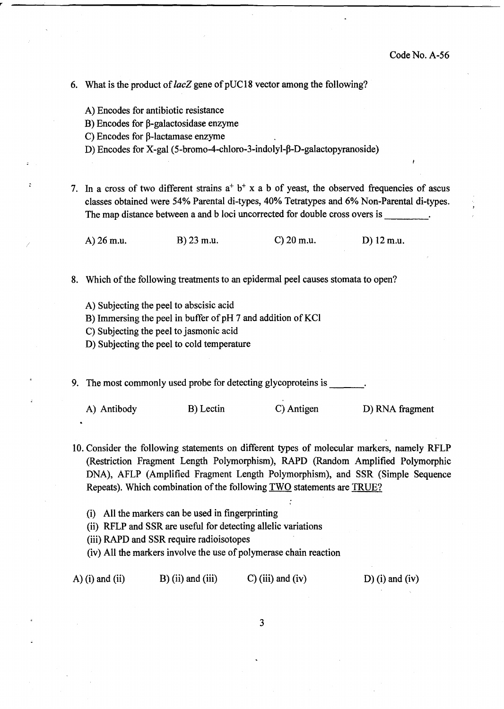6. What is the product of *lacZ* gene of pUC18 vector among the following?

- A) Encodes for antibiotic resistance
- B) Encodes for  $\beta$ -galactosidase enzyme
- C) Encodes for  $\beta$ -lactamase enzyme
- D) Encodes for X-gal (5-bromo-4-chloro-3-indolyl-β-D-galactopyranoside)
- 7. In a cross of two different strains  $a^+ b^+ x a b$  of yeast, the observed frequencies of ascus classes obtained were 54% Parental di-types, 40% Tetratypes and 6% Non-Parental di-types. The map distance between a and b loci uncorrected for double cross overs is

A)26m.u. B) 23 m.u. C)20m.u. D) 12m.u.

8. Which of the following treatments to an epidermal peel causes stomata to open?

- A) Subjecting the peel to abscisic acid
- B) Immersing the peel in buffer of pH 7 and addition of KCl
- C) Subjecting the peel to jasmonic acid
- D) Subjecting the peel to cold temperature

9. The most commonly used probe for detecting glycoproteins is \_

- A) Antibody B) Lectin C) Antigen D) RNA fragment
- 10. Consider the following statements on different types of molecular markers, namely RFLP (Restriction Fragment Length Polymorphism), RAPD (Random Amplified Polymorphic DNA), AFLP (Amplified Fragment Length Polymorphism), and SSR (Simple Sequence Repeats). Which combination of the following TWO statements are TRUE?
	- (i) All the markers can be used in fingerprinting
	- (ii) RFLP and SSR are useful for detecting allelic variations
	- (iii) RAPD and SSR require radioisotopes
	- (iv) All the markers involve the use of polymerase chain reaction

A) (i) and (ii) B) (ii) and (iii) C) (iii) and (iv)  $D$ ) (i) and (iv)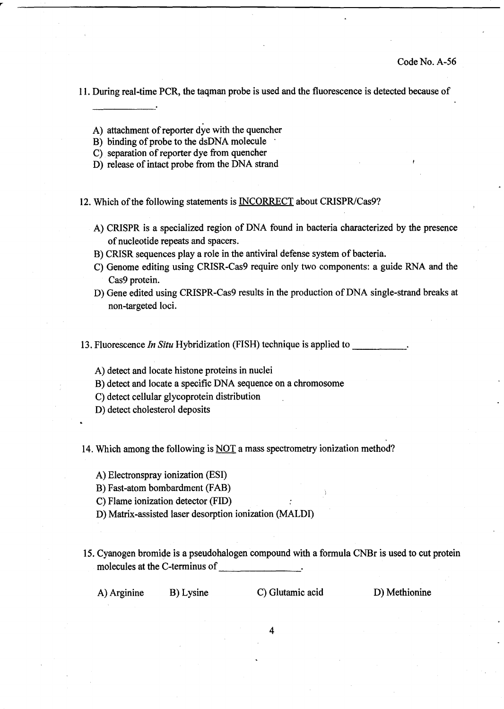- 11. During real-time PCR, the taqman probe is used and the fluorescence is detected because of
	- A) attachment of reporter dye with the quencher
	- B) binding of probe to the dsDNA molecule
	- C) separation of reporter dye from quencher
	- D) release of intact probe from the DNA strand
- 12. Which of the following statements is INCORRECT about CRISPR/Cas9?
	- A) CRISPR is a specialized region of DNA found in bacteria characterized by the presence of nucleotide repeats and spacers.
	- B) CRISR sequences playa role in the antiviral defense system of bacteria.
	- C) Genome editing using CRISR-Cas9 require only two components: a guide RNA and the Cas9 protein.
	- D) Gene edited using CRISPR-Cas9 results in the production of DNA single-strand breaks at non-targeted loci.

13. Fluorescence *In Situ* Hybridization (FISH) technique is applied to \_\_\_\_\_ '

- A) detect and locate histone proteins in nuclei
- B) detect and locate a specific DNA sequence on a chromosome
- C) detect cellular glycoprotein distribution
- D) detect cholesterol deposits

14. Which among the following is NOT a mass spectrometry ionization method?

A) Electronspray ionization (ESI)

B) Fast-atom bombardment (FAB)

- C) Flame ionization detector (FID)
- D) Matrix-assisted laser desorption ionization (MALDI)
- 15. Cyanogen bromi4e is a pseudohalogen compound with a formula CNBr is used to cut protein molecules at the C-terminus of -------

A) Arginine B) Lysine C) Glutamic acid D) Methionine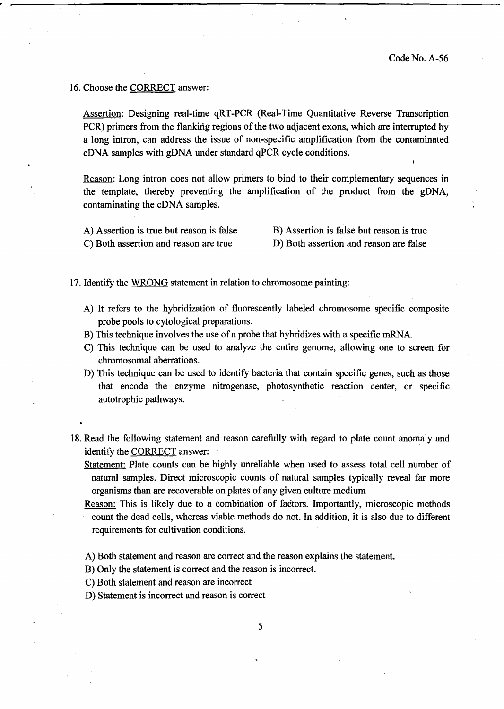#### 16. Choose the CORRECT answer:

Assertion: Designing real-time qRT-PCR (Real-Time Quantitative Reverse Transcription PCR) primers from the flanking regions of the two adjacent exons, which are interrupted by a long intron, can address the issue of non-specific amplification from the contaminated cDNA samples with gDNA under standard qPCR cycle conditions.

Reason: Long intron does not allow primers to bind to their complementary sequences in the template, thereby preventing the amplification of the product from the gDNA, contaminating the cDNA samples.

A) Assertion is true but reason is false C) Both assertion and reason are true

B) Assertion is false but reason is true . D) Both assertion and reason are false

17. Identify the WRONG statement in relation to chromosome painting:

- A) It refers to the hybridization of fluorescently labeled chromosome specific composite probe pools to cytological preparations.
- B) This technique involves the use of a probe that hybridizes with a specific mRNA.
- C) This technique can be used to analyze the entire genome, allowing one to screen for chromosomal aberrations.
- D) This technique can be used to identify bacteria that contain specific genes, such as those that encode the enzyme nitrogenase, photosynthetic reaction center, or specific autotrophic pathways.
- 18. Read the following statement and reason carefully with regard to plate count anomaly and identify the CORRECT answer:
	- Statement: Plate counts can be highly unreliable when used to assess total cell number of natural samples. Direct microscopic counts of natural samples typically reveal far more organisms than are recoverable on plates of any given culture medium
	- Reason: This is likely due to a combination of factors. Importantly, microscopic methods count the dead cells, whereas viable methods do not. In addition, it is also due to different requirements for cultivation conditions.
	- A) Both statement and reason are correct and the reason explains the statement.
	- B) Only the statement is correct and the reason is incorrect.
	- C) Both statement and reason are incorrect
	- D) Statement is incorrect and reason is correct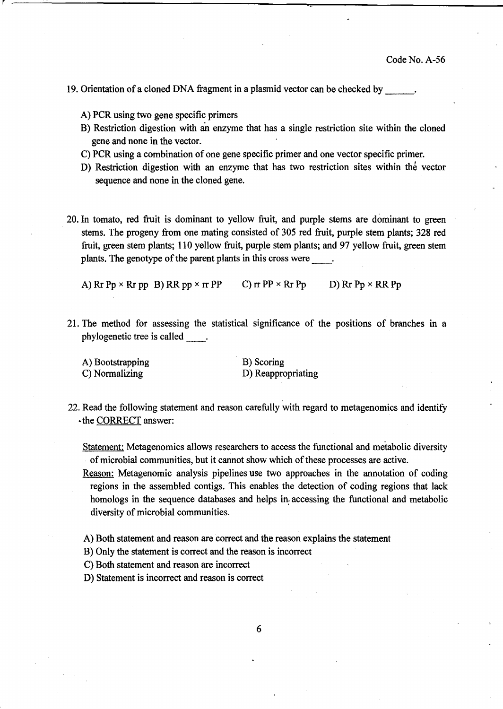19. Orientation of a cloned DNA fragment in a plasmid vector can be checked by \_\_ \_

A) PCR using two gene specific primers

r

- B) Restriction digestion with an enzyme that has a single restriction site within the cloned gene and none in the vector.
- C) PCR using a combination of one gene specific primer and one vector specific primer.
- D) Restriction digestion with an enzyme that has two restriction sites within the vector sequence and none in the cloned gene.
- 20. In tomato, red fruit is dominant to yellow fruit, and purple stems are dominant to green stems. The progeny from one mating consisted of 305 red fruit, purple stem plants; 328 red fruit, green stem plants; 110 yellow fruit, purple stem plants; and 97 yellow fruit, green stem plants. The genotype of the parent plants in this cross were

A) Rr Pp  $\times$  Rr pp B) RR pp  $\times$  rr PP  $\hbox{C}$ ) rr PP  $\times$  Rr Pp  $\hbox{D}$ ) Rr Pp  $\times$  RR Pp

21. The method for assessing the statistical significance of the positions of branches in a phylogenetic tree is called \_\_ .

| A) Bootstrapping | B) Scoring         |
|------------------|--------------------|
| C) Normalizing   | D) Reappropriating |

22. Read the following statement and reason carefully with regard to metagenomics and identify • the CORRECT answer:

Statement: Metagenomics allows researchers to access the functional and metabolic diversity of microbial communities, but it cannot show which of these processes are active.

Reason: Metagenomic analysis pipelines use two approaches in the annotation of coding regions in the assembled contigs. This enables the detection of coding regions that lack homologs in the sequence databases and helps in accessing the functional and metabolic diversity of microbial communities.

A) Both statement and reason are correct and the reason explains the statement

B) Only the statement is correct and the reason is incorrect

C) Both statement and reason are incorrect

D) Statement is incorrect and reason is correct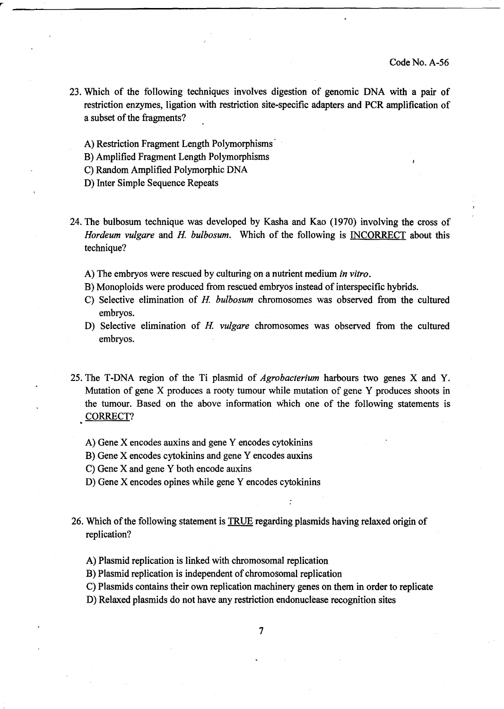- 23. Which of the following techniques involves digestion of genomic DNA with a pair of restriction enzymes, ligation with restriction site-specific adapters and PCR amplification of a subset of the fragments?
	- A) Restriction Fragment Length Polymorphisms'
	- B) Amplified Fragment Length Polymorphisms
	- C) Random Amplified Polymorphic DNA
	- D) Inter Simple Sequence Repeats
- 24. The bulbosum technique was developed by Kasha and Kao (1970) involving the cross of *Hordeum vulgare and H. bulbosum.* Which of the following is **INCORRECT** about this technique?
	- A) The embryos were rescued by culturing on a nutrient medium in *vitro.*
	- B) Monoploids were produced from rescued embryos instead of interspecific hybrids.
	- C) Selective elimination of *H. bulbosum* chromosomes was observed from the cultured embryos.
	- D) Selective elimination of *H vulgare* chromosomes was observed from the cultured embryos.
- 25. The T-DNA region of the Ti plasmid of *Agrobacterium* harbours two genes X and Y. Mutation of gene X produces a rooty tumour while mutation of gene Y produces shoots in the tumour. Based on the above information which one of the following statements is CORRECT?
	- A) Gene X encodes auxins and gene Y encodes cytokinins
	- B) Gene X encodes cytokinins and gene Y encodes auxins
	- C) Gene X and gene Y both encode auxins
	- D) Gene X encodes opines while gene Y encodes cytokinins
- 26. Which of the following statement is TRUE regarding plasmids having relaxed origin of replication?

A) Plasmid replication is linked with chromosomal replication

B) Plasmid replication is independent of chromosomal replication

C) Plasmids contains their own replication machinery genes on them in order to replicate

D) Relaxed plasmids do not have any restriction endonuclease recognition sites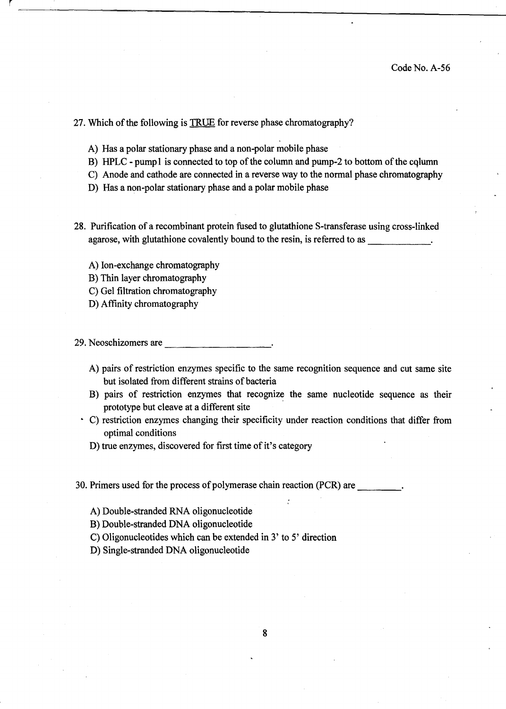27. Which of the following is TRUE for reverse phase chromatography?

- A) Has a polar stationary phase and a non-polar mobile phase
- B) HPLC pump 1 is connected to top of the column and pump-2 to bottom of the column
- C) Anode and cathode are connected in a reverse way to the normal phase chromatography
- D) Has a non-polar stationary phase and a polar mobile phase
- 28. Purification of a recombinant protein fused to glutathione S-transferase using cross-linked agarose, with glutathione covalently bound to the resin, is referred to as
	- A) Ion-exchange chromatography
	- B) Thin layer chromatography

r

- C) Gel filtration chromatography
- D) Affinity chromatography

29. Neoschizomers are

- A) pairs of restriction enzymes specific to the same recognition sequence and cut same site but isolated from different strains of bacteria
- B) pairs of restriction enzymes that recognize the same nucleotide sequence as their prototype but cleave at a different site
- C) restriction enzymes changing their specificity under reaction conditions that differ from optimal conditions
	- D) true enzymes, discovered for first time of it's category
- 30. Primers used for the process of polymerase chain reaction (PCR) are  $\sim$ 
	- A) Double-stranded RNA oligonucleotide
	- B) Double-stranded DNA oligonucleotide
	- C) Oligonucleotides which can be extended in 3' to 5' direction
	- D) Single-stranded DNA oligonucleotide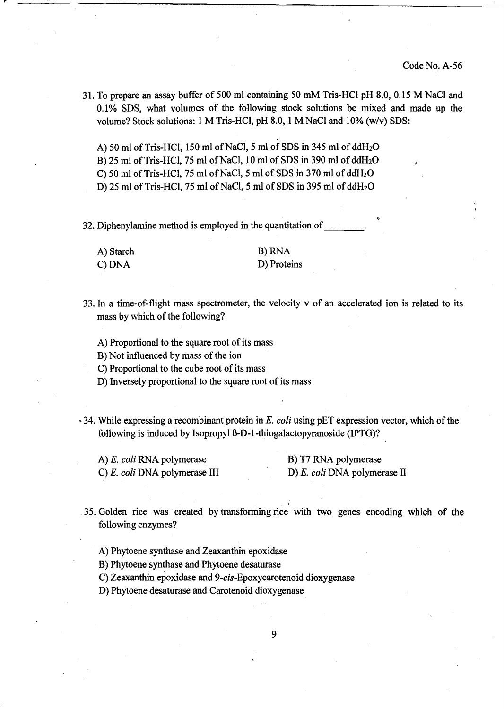31. To prepare an assay buffer of 500 ml containing 50 mM Tris-HClpH 8.0, 0.15 M NaCI and 0.1% SDS, what volumes of the following stock solutions be mixed and made up the volume? Stock solutions: 1 M Tris-HCI, pH 8.0, 1 M NaCl and 10% (w/v) SDS:

A) 50 ml of Tris-HCl, 150 ml of NaCl, 5 ml of SDS in 345 ml of  $ddH<sub>2</sub>O$ B) 25 ml of Tris-HCl, 75 ml of NaCl, 10 ml of SDS in 390 ml of ddH<sub>2</sub>O C) 50 ml of Tris-HCl, 75 ml of NaCl, 5 ml of SDS in 370 ml of  $ddH_2O$ D) 25 ml of Tris-HCl, 75 ml of NaCl, 5 ml of SDS in 395 ml of  $ddH_2O$ 

32. Diphenylamine method is employed in the quantitation of

| A) Starch | B) RNA      |
|-----------|-------------|
| C) DNA    | D) Proteins |

33. In a time-of-flight mass spectrometer, the velocity v of an accelerated ion is related to its mass by which of the following?

A) Proportional to the square root of its mass

B) Not influenced by mass of the ion

C) Proportional to the cube root of its mass

D) Inversely proportional to the square root of its mass

·34. While expressing a recombinant protein in E. *coli* using pET expression vector, which of the following is induced by Isopropyl B-D-1-thiogalactopyranoside (lPTG)?

A) *E. coli* RNA polymerase B) T7 RNA polymerase

C) E. *coli* DNA polymerase III D) E. *coli* DNA polymerase II

35. Golden rice was created by transforming rice with two genes encoding which of the following enzymes?

A) Phytoene synthase and Zeaxanthin epoxidase

B) Phytoene synthase and Phytoene desaturase

C) Zeaxanthin epoxidase and 9-cis-Epoxycarotenoid dioxygenase

D) Phytoene desaturase and Carotenoid dioxygenase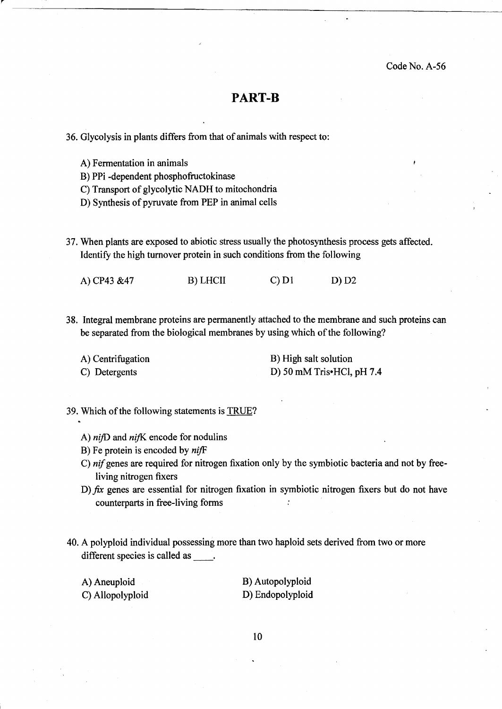## **PART-B**

36. Glycolysis in plants differs from that of animals with respect to:

A) Fermentation in animals

r

- B) PPi -dependent phosphofructokinase
- C) Transport of glycolytic NADH to mitochondria
- D) Synthesis of pyruvate from PEP in animal cells
- 37. When plants are exposed to abiotic stress usually the photosynthesis process gets affected. Identify the high turnover protein in such conditions from the following

A) CP43 &47 B) LHCII C) D1 D) D2

- 38. Integral membrane proteins are permanently attached to the membrane and such proteins can be separated from the biological membranes by using which of the following?
	- A) Centrifugation

C) Detergents

B) High salt solution D) 50 mM Tris-HCI, pH 7.4

- 39. Which of the following statements is TRUE?
	- A) *nijD* and *nijK* encode for nodulins
	- B) Fe protein is encoded by *nifF*
	- C) *nif* genes are required for nitrogen fixation only by the symbiotic bacteria and not by freeliving nitrogen fixers
	- *D).fix genes are essential for nitrogen fixation in symbiotic nitrogen fixers but do not have* counterparts in free-living forms
- 40. A polyploid individual possessing more than two haploid sets derived from two or more different species is called as
	- A) Aneuploid C) Allopolyploid

B) Autopolyploid D) Endopolyploid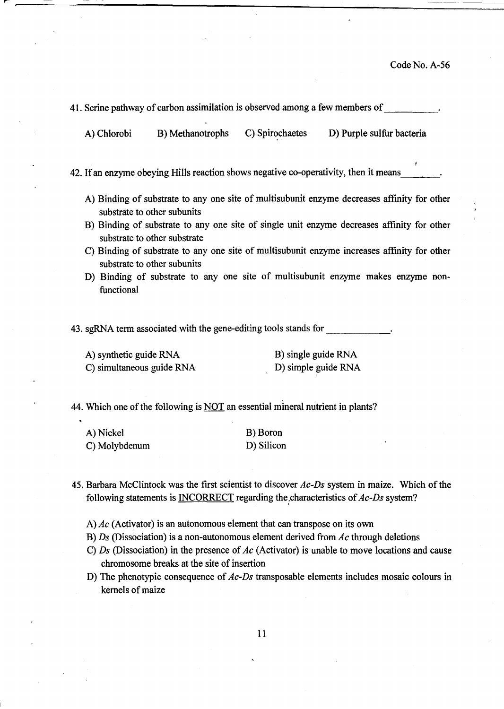| A) Chlorobi | B) Methanotrophs                                                                     | C) Spirochaetes | D) Purple sulfur bacteria                                                                   |
|-------------|--------------------------------------------------------------------------------------|-----------------|---------------------------------------------------------------------------------------------|
|             | 42. If an enzyme obeying Hills reaction shows negative co-operativity, then it means |                 |                                                                                             |
|             | substrate to other subunits                                                          |                 | A) Binding of substrate to any one site of multisubunit enzyme decreases affinity for other |
|             | substrate to other substrate                                                         |                 | B) Binding of substrate to any one site of single unit enzyme decreases affinity for other  |
|             | substrate to other subunits                                                          |                 | C) Binding of substrate to any one site of multisubunit enzyme increases affinity for other |
| functional  |                                                                                      |                 | D) Binding of substrate to any one site of multisubunit enzyme makes enzyme non-            |

| A) synthetic guide RNA | B) single guide RNA |
|------------------------|---------------------|

C) simultaneous guide RNA

single guide RNA D) simple guide RNA

44. Which one of the following is NOT an essential mineral nutrient in plants?

| A) Nickel     | B) Boron   |
|---------------|------------|
| C) Molybdenum | D) Silicon |

- 45. Barbara McClintock was the first scientist to discover *Ac-Ds* system in maize. Which of the following statements is INCORRECT regarding the;characteristics of *Ac-Ds* system?
	- A) *Ac* (Activator) is an autonomous element that can transpose on its own
	- B) *Ds* (Dissociation) is a non-autonomous element derived from *Ac* through deletions
	- C) *Ds* (Dissociation) in the presence of *Ac* (Activator) is unable to move locations and cause chromosome breaks at the site of insertion
	- D) The phenotypic consequence of *Ac-Ds* transposable elements includes mosaic colours in kernels of maize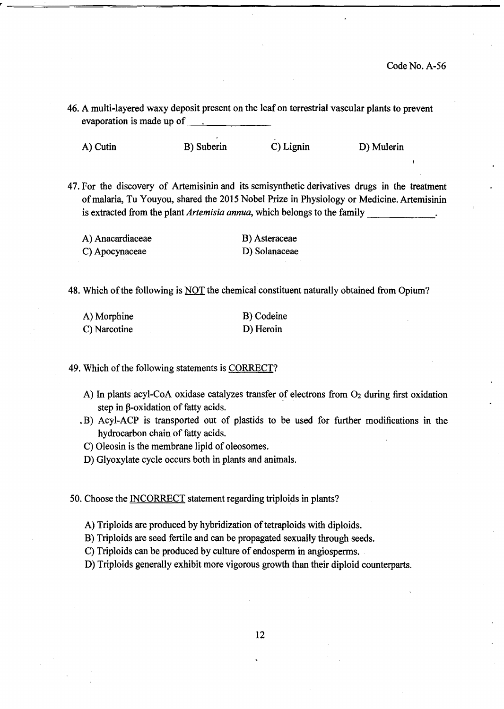46. A multi-layered waxy deposit present on the leaf on terrestrial vascular plants to prevent evaporation is made up of

A) Cutin B) Suberin C) Lignin D) Mulerin

47. For the discovery of Artemisinin and its semisynthetic derivatives drugs in the treatment of malaria, Tu Youyou, shared the 2015 Nobel Prize in Physiology or Medicine. Artemisinin is extracted from the plant *Artemisia annua*, which belongs to the family

| A) Anacardiaceae | B) Asteraceae |
|------------------|---------------|
| C) Apocynaceae   | D) Solanaceae |

48. Which of the following is NOT the chemical constituent naturally obtained from Opium?

| A) Morphine  | B) Codeine |
|--------------|------------|
| C) Narcotine | D) Heroin  |

49. Which of the following statements is CORRECT?

- A) In plants acyl-CoA oxidase catalyzes transfer of electrons from  $O<sub>2</sub>$  during first oxidation step in  $\beta$ -oxidation of fatty acids.
- B) Acyl-ACP is transported out of plastids to be used for further modifications in the hydrocarbon chain of fatty acids.
- C) Oleosin is the membrane lipid of oleosomes.

D) Glyoxylate cycle occurs both in plants and animals.

50. Choose the **INCORRECT** statement regarding triploids in plants?

A) Triploids are produced by hybridization of tetraploids with diploids.

B) Triploids are seed fertile and can be propagated sexually through seeds.

C) Triploids can be produced by culture of endosperm in angiosperms.

D) Triploids generally exhibit more vigorous growth than their diploid counterparts.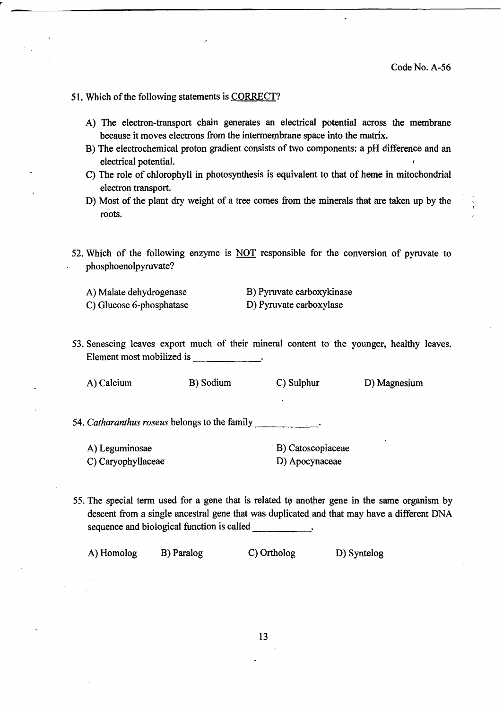51. Which of the following statements is CORRECT?

- A) The electron-transport chain generates an electrical potential across the membrane because it moves electrons from the intermembrane space into the matrix.
- B) The electrochemical proton gradient consists of two components: a pH difference and an electrical potential.
- C) The role of chlorophyll in photosynthesis is equivalent to that of heme in mitochondrial electron transport.
- D) Most of the plant dry weight of a tree comes from the minerals that are taken up by the roots.
- 52. Which of the following enzyme is NOT responsible for the conversion of pyruvate to phosphoenolpyruvate?
	- A) Malate dehydrogenase C) Glucose 6-phosphatase B) Pyruvate carboxykinase D) Pyruvate carboxylase
- 53. Senescing leaves export much of their mineral content to the younger, healthy leaves. Element most mobilized is

A) Calcium B) Sodium C) Sulphur

D) Magnesium

54. Catharanthus roseus belongs to the family

A) Leguminosae C) Caryophyllaceae B) Catoscopiaceae D) Apocynaceae

55. The special term used for a gene that is related to another gene in the same organism by descent from a single ancestral gene that was duplicated and that may have a different DNA sequence and biological function is called

A) Homolog B) Paralog C) Ortholog D) Syntelog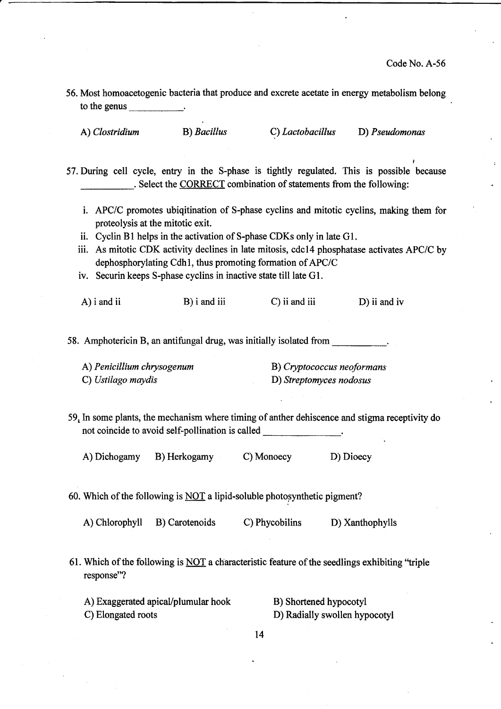56. Most homoacetogenic bacteria that produce and excrete acetate in energy metabolism belong to the genus \_\_\_\_\_\_\_\_\_\_.

A) *Clostridium* **B**) *Bacillus* **C**) *Lactobacillus* **D**) *Pseudomonas* 

- 57. During cell cycle, entry in the S-phase is tightly regulated. This is possible because . Select the CORRECT combination of statements from the following:
	- i. *APC/C* promotes ubiqitination of S-phase cyclins and mitotic cyclins, making them for proteolysis at the mitotic exit.
	- ii. Cyclin B1 helps in the activation of S-phase CDKs only in late  $G1$ .
	- iii. As mitotic CDK activity declines in late mitosis, cdc14 phosphatase activates *APC/C* by dephosphorylating Cdh 1, thus promoting formation of *APC/C*
	- iv. Securin keeps S-phase cyclins in inactive state till late G1.

| A) i and ii                                      | B) i and iii                                                                            | C) ii and iii  | D) ii and iv                                                                                                 |
|--------------------------------------------------|-----------------------------------------------------------------------------------------|----------------|--------------------------------------------------------------------------------------------------------------|
|                                                  | 58. Amphotericin B, an antifungal drug, was initially isolated from                     |                |                                                                                                              |
| A) Penicillium chrysogenum<br>C) Ustilago maydis |                                                                                         |                | B) Cryptococcus neoformans<br>D) Streptomyces nodosus                                                        |
|                                                  | not coincide to avoid self-pollination is called ______________.                        |                | 59. In some plants, the mechanism where timing of anther dehiscence and stigma receptivity do                |
|                                                  | A) Dichogamy B) Herkogamy C) Monoecy                                                    |                | D) Dioecy                                                                                                    |
|                                                  | 60. Which of the following is $\underline{NOT}$ a lipid-soluble photosynthetic pigment? |                |                                                                                                              |
| A) Chlorophyll                                   | B) Carotenoids                                                                          | C) Phycobilins | D) Xanthophylls                                                                                              |
| response"?                                       |                                                                                         |                | 61. Which of the following is $\overline{NOT}$ a characteristic feature of the seedlings exhibiting "triple" |
| C) Elongated roots                               | A) Exaggerated apical/plumular hook                                                     |                | B) Shortened hypocotyl<br>D) Radially swollen hypocotyl                                                      |
|                                                  |                                                                                         | 14             |                                                                                                              |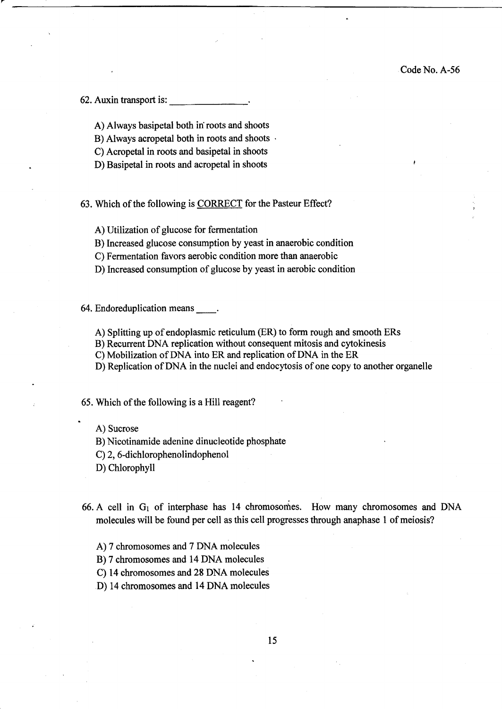62. Auxin transport is:

A) Always basipetal both in roots and shoots

B) Always acropetal both in roots and shoots .

C) Acropetal in roots and basipetal in shoots

D) Basipetal in roots and acropetal in shoots

63. Which of the following is CORRECT for the Pasteur Effect?

A) Utilization of glucose for fermentation

B) Increased glucose consumption by yeast in anaerobic condition

C) Fermentation favors aerobic condition more than anaerobic

D) Increased consumption of glucose by yeast in aerobic condition

64. Endoreduplication means \_\_ .

A) Splitting up of endoplasmic reticulum (ER) to form rough and smooth ERs

B) Recurrent DNA replication without consequent mitosis and cytokinesis

C) Mobilization of DNA into ER and replication of DNA in the ER

D) Replication of DNA in the nuclei and endocytosis of one copy to another organelle

65. Which of the following is a Hill reagent?

A) Sucrose

B) Nicotinamide adenine dinucleotide phosphate

C) 2, 6-dichlorophenolindophenol

D) Chlorophyll

66. A cell in  $G_1$  of interphase has 14 chromosomes. How many chromosomes and DNA molecules will be found per cell as this cell progresses through anaphase 1 of meiosis?

A) 7 chromosomes and 7 DNA molecules

B) 7 chromosomes and 14 DNA molecules

C) 14 chromosomes and 28 DNA molecules

D) 14 chromosomes and 14 DNA molecules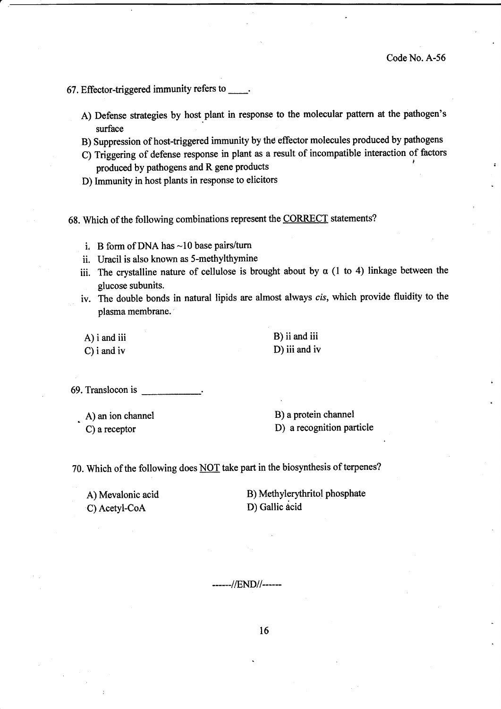- 67. Effector-triggered immunity refers to \_\_ .
	- A) Defense strategies by host plant in response to the molecular pattern at the pathogen's surface
	- B) Suppression of host-triggered immunity by the effector molecules produced by pathogens
	- C) Triggering of defense response in plant as a result of incompatible interaction of factors produced by pathogens and R gene products <sup>I</sup>
	- D) Immunity in host plants in response to elicitors
- 68. Which of the following combinations represent the CORRECT statements?
	- i. B form of DNA has  $\sim$  10 base pairs/turn
	- ii. Uracil is also known as 5-methylthymine
	- iii. The crystalline nature of cellulose is brought about by  $\alpha$  (1 to 4) linkage between the glucose subunits.
	- iv. The double bonds in natural lipids are almost always *cis*, which provide fluidity to the plasma membrane.

| $A)$ i and iii | B) ii and iii |
|----------------|---------------|
| $C$ ) i and iv | D) iii and iv |

69. Translocon is

• A) an ion channel C) a receptor

B) a protein channel D) a recognition particle

70. Which of the following does NOT take part in the biosynthesis of terpenes?

A) Mevalonic acid C) Acetyl-CoA

B) Methylerythritol phosphate D) Gallic àcid

------/IEND//------